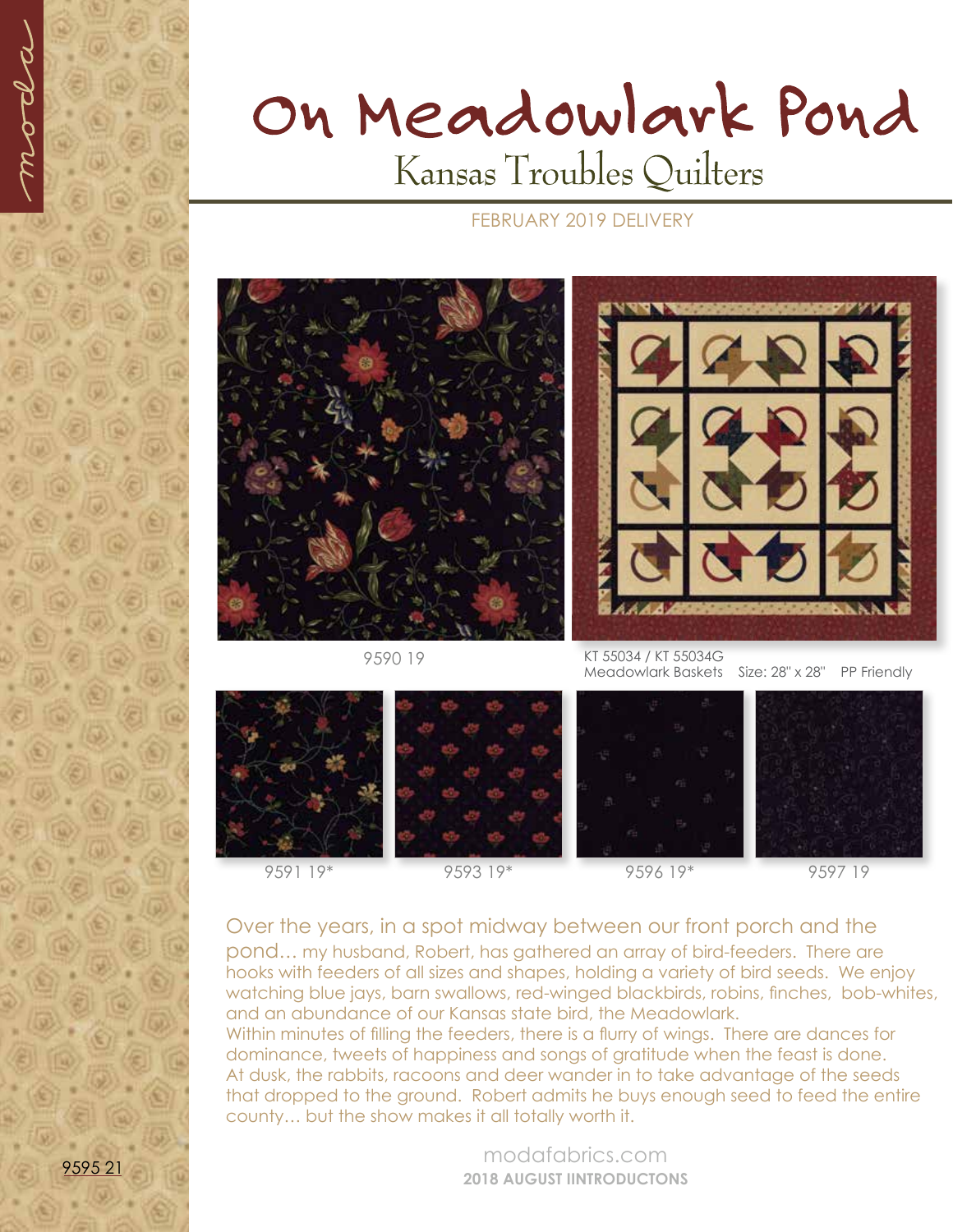

## On Meadowlark Pond Kansas Troubles Quilters

## FEBRUARY 2019 DELIVERY



9590 19



KT 55034 / KT 55034G Meadowlark Baskets Size: 28" x 28" PP Friendly



9591 19\* 9593 19\* 9596 19\* 9597 19

Over the years, in a spot midway between our front porch and the pond*…* my husband, Robert, has gathered an array of bird-feeders. There are hooks with feeders of all sizes and shapes, holding a variety of bird seeds. We enjoy

watching blue jays, barn swallows, red-winged blackbirds, robins, finches, bob-whites, and an abundance of our Kansas state bird, the Meadowlark. Within minutes of filling the feeders, there is a flurry of wings. There are dances for dominance, tweets of happiness and songs of gratitude when the feast is done. At dusk, the rabbits, racoons and deer wander in to take advantage of the seeds that dropped to the ground. Robert admits he buys enough seed to feed the entire county… but the show makes it all totally worth it.

> modafabrics.com **2018 AUGUST IINTRODUCTONS**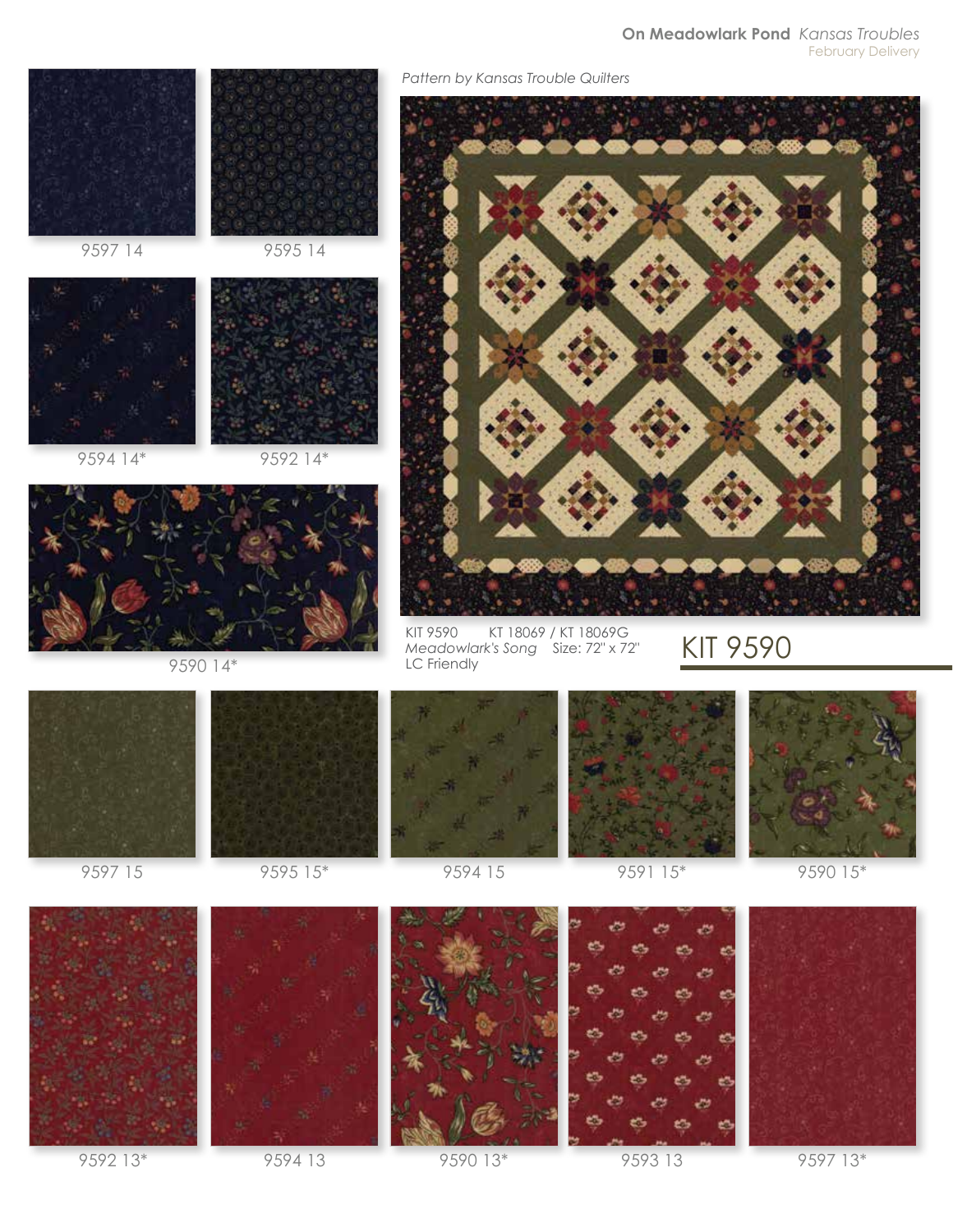## **On Meadowlark Pond** *Kansas Troubles* February Delivery





9592 13\* 9594 13 9590 13\* 9593 13 9597 13\*